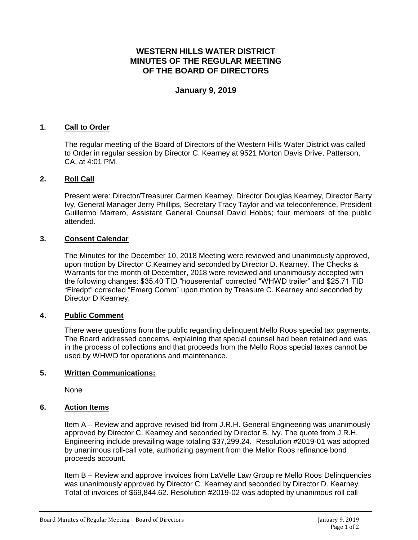# **WESTERN HILLS WATER DISTRICT MINUTES OF THE REGULAR MEETING OF THE BOARD OF DIRECTORS**

## **January 9, 2019**

## **1. Call to Order**

The regular meeting of the Board of Directors of the Western Hills Water District was called to Order in regular session by Director C. Kearney at 9521 Morton Davis Drive, Patterson, CA, at 4:01 PM.

## **2. Roll Call**

Present were: Director/Treasurer Carmen Kearney, Director Douglas Kearney, Director Barry Ivy, General Manager Jerry Phillips, Secretary Tracy Taylor and via teleconference, President Guillermo Marrero, Assistant General Counsel David Hobbs; four members of the public attended.

## **3. Consent Calendar**

The Minutes for the December 10, 2018 Meeting were reviewed and unanimously approved, upon motion by Director C.Kearney and seconded by Director D. Kearney. The Checks & Warrants for the month of December, 2018 were reviewed and unanimously accepted with the following changes: \$35.40 TID "houserental" corrected "WHWD trailer" and \$25.71 TID "Firedpt" corrected "Emerg Comm" upon motion by Treasure C. Kearney and seconded by Director D Kearney.

#### **4. Public Comment**

There were questions from the public regarding delinquent Mello Roos special tax payments. The Board addressed concerns, explaining that special counsel had been retained and was in the process of collections and that proceeds from the Mello Roos special taxes cannot be used by WHWD for operations and maintenance.

#### **5. Written Communications:**

None

#### **6. Action Items**

Item A – Review and approve revised bid from J.R.H. General Engineering was unanimously approved by Director C. Kearney and seconded by Director B. Ivy. The quote from J.R.H. Engineering include prevailing wage totaling \$37,299.24. Resolution #2019-01 was adopted by unanimous roll-call vote, authorizing payment from the Mellor Roos refinance bond proceeds account.

Item B – Review and approve invoices from LaVelle Law Group re Mello Roos Delinquencies was unanimously approved by Director C. Kearney and seconded by Director D. Kearney. Total of invoices of \$69,844.62. Resolution #2019-02 was adopted by unanimous roll call